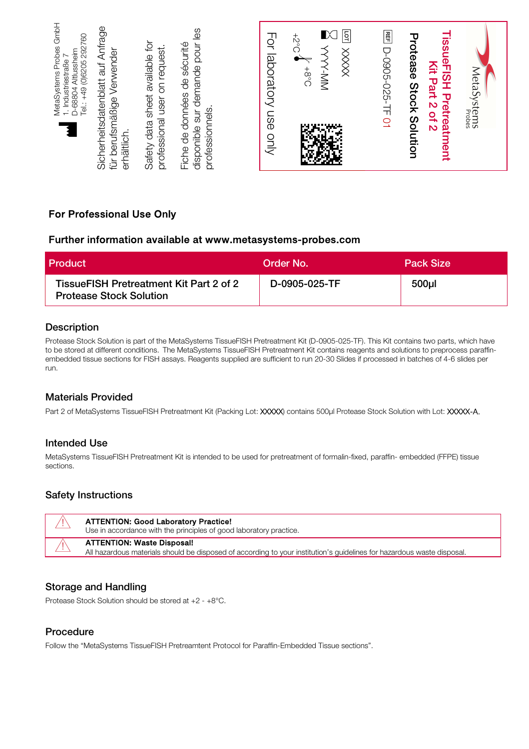| MetaSystems Probes GmbH<br>Sicherheitsdatenblatt auf Anfrage<br>es<br>Tel.: +49 (0)6205 292760<br>Safety data sheet available for<br>disponible sur demande pour<br>de sécurité<br>professional user on request.<br>für berufsmäßige Verwender<br>Altlussheim<br>Industriestraße<br>D-68804<br>Fiche de données<br>professionnels.<br>$\frac{1}{2}$<br>erhältlich. |
|--------------------------------------------------------------------------------------------------------------------------------------------------------------------------------------------------------------------------------------------------------------------------------------------------------------------------------------------------------------------|
| For laboratory use only                                                                                                                                                                                                                                                                                                                                            |
| <b>G</b><br>K<br>$3.5^{+}$<br>XXXX<br>$0.8 +$<br>Ż<br>M<br>ሥ ምድ<br>H.<br><b>COLLEGE</b><br>75                                                                                                                                                                                                                                                                      |
| Ē<br>D-0905-025-TF 01                                                                                                                                                                                                                                                                                                                                              |
| Protease<br>issueFISH Pretreatment<br>Kit Part 2 of<br>Stock<br>Solution<br>N                                                                                                                                                                                                                                                                                      |
| MetaSystems<br>MetaSystems                                                                                                                                                                                                                                                                                                                                         |

## For Professional Use Only

### Further information available at www.metasystems-probes.com

| Product                                                                   | Order No.     | Pack Size |
|---------------------------------------------------------------------------|---------------|-----------|
| TissueFISH Pretreatment Kit Part 2 of 2<br><b>Protease Stock Solution</b> | D-0905-025-TF | 500ul     |

#### Description

Protease Stock Solution is part of the MetaSystems TissueFISH Pretreatment Kit (D-0905-025-TF). This Kit contains two parts, which have to be stored at different conditions. The MetaSystems TissueFISH Pretreatment Kit contains reagents and solutions to preprocess paraffinembedded tissue sections for FISH assays. Reagents supplied are sufficient to run 20-30 Slides if processed in batches of 4-6 slides per run.

#### Materials Provided

Part 2 of MetaSystems TissueFISH Pretreatment Kit (Packing Lot: XXXX) contains 500µl Protease Stock Solution with Lot: XXXXX-A.

#### Intended Use

MetaSystems TissueFISH Pretreatment Kit is intended to be used for pretreatment of formalin-fixed, paraffin- embedded (FFPE) tissue sections.

#### Safety Instructions

|            | <b>ATTENTION: Good Laboratory Practice!</b><br>Use in accordance with the principles of good laboratory practice.                                           |
|------------|-------------------------------------------------------------------------------------------------------------------------------------------------------------|
| $\sqrt{1}$ | <b>ATTENTION: Waste Disposal!</b><br>All hazardous materials should be disposed of according to your institution's guidelines for hazardous waste disposal. |

#### Storage and Handling

Protease Stock Solution should be stored at +2 - +8°C.

#### Procedure

Follow the "MetaSystems TissueFISH Pretreamtent Protocol for Paraffin-Embedded Tissue sections".